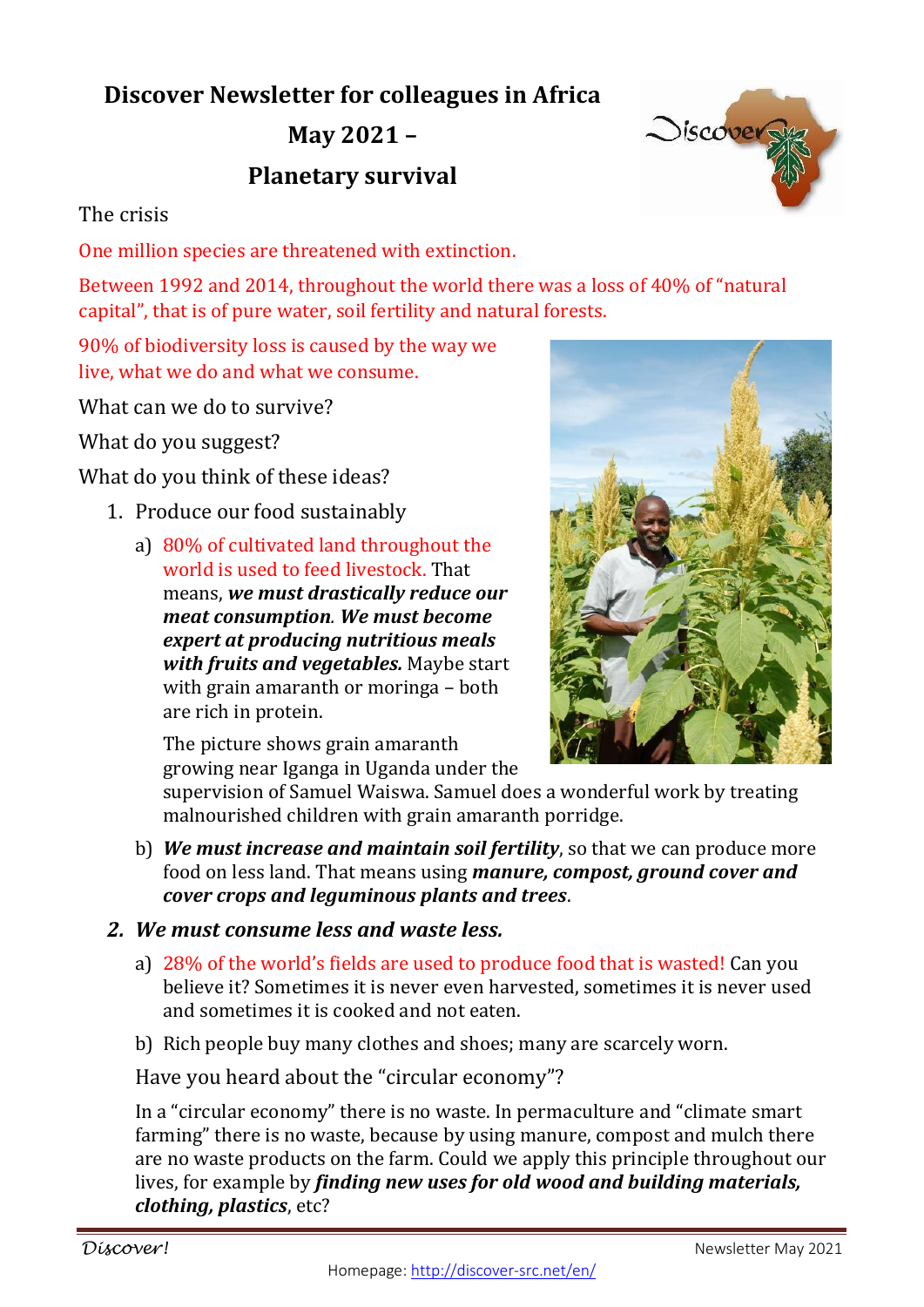## **Discover Newsletter for colleagues in Africa**

**May 2021 –**

## **Planetary survival**

## The crisis

One million species are threatened with extinction.

Between 1992 and 2014, throughout the world there was a loss of 40% of "natural capital", that is of pure water, soil fertility and natural forests.

90% of biodiversity loss is caused by the way we live, what we do and what we consume.

What can we do to survive?

What do you suggest?

What do you think of these ideas?

- 1. Produce our food sustainably
	- a) 80% of cultivated land throughout the world is used to feed livestock. That means, *we must drastically reduce our meat consumption. We must become expert at producing nutritious meals with fruits and vegetables.* Maybe start with grain amaranth or moringa – both are rich in protein.

The picture shows grain amaranth growing near Iganga in Uganda under the

supervision of Samuel Waiswa. Samuel does a wonderful work by treating malnourished children with grain amaranth porridge.

- b) *We must increase and maintain soil fertility*, so that we can produce more food on less land. That means using *manure, compost, ground cover and cover crops and leguminous plants and trees*.
- *2. We must consume less and waste less.*
	- a) 28% of the world's fields are used to produce food that is wasted! Can you believe it? Sometimes it is never even harvested, sometimes it is never used and sometimes it is cooked and not eaten.
	- b) Rich people buy many clothes and shoes; many are scarcely worn.

Have you heard about the "circular economy"?

In a "circular economy" there is no waste. In permaculture and "climate smart farming" there is no waste, because by using manure, compost and mulch there are no waste products on the farm. Could we apply this principle throughout our lives, for example by *finding new uses for old wood and building materials, clothing, plastics*, etc?